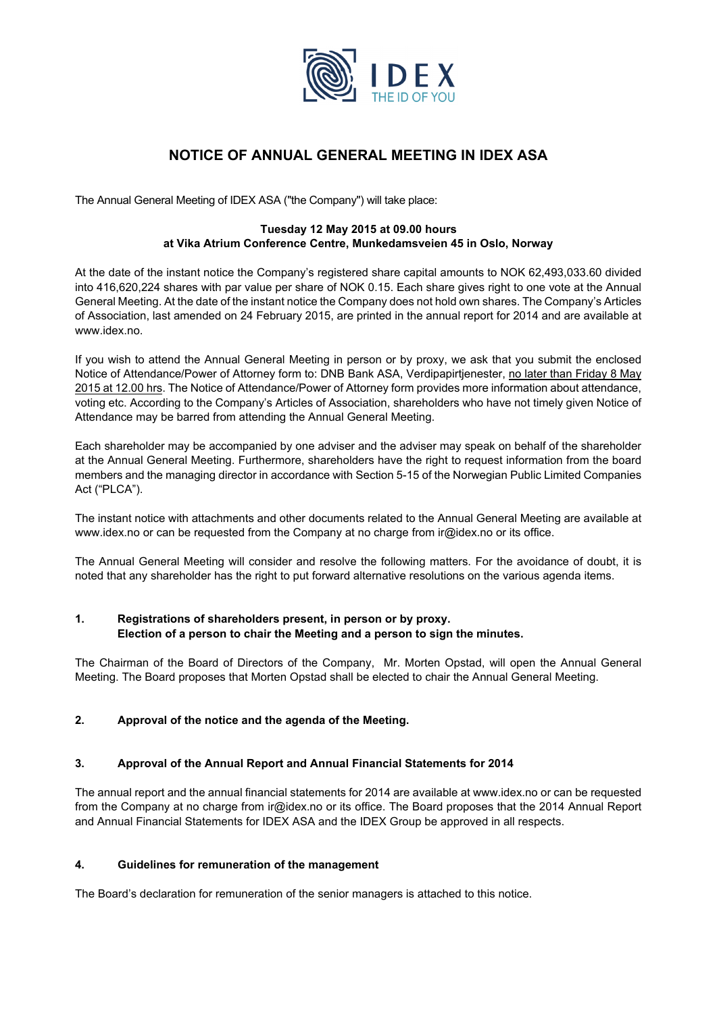

# **NOTICE OF ANNUAL GENERAL MEETING IN IDEX ASA**

The Annual General Meeting of IDEX ASA ("the Company") will take place:

#### **Tuesday 12 May 2015 at 09.00 hours at Vika Atrium Conference Centre, Munkedamsveien 45 in Oslo, Norway**

At the date of the instant notice the Company's registered share capital amounts to NOK 62,493,033.60 divided into 416,620,224 shares with par value per share of NOK 0.15. Each share gives right to one vote at the Annual General Meeting. At the date of the instant notice the Company does not hold own shares. The Company's Articles of Association, last amended on 24 February 2015, are printed in the annual report for 2014 and are available at www.idex.no.

If you wish to attend the Annual General Meeting in person or by proxy, we ask that you submit the enclosed Notice of Attendance/Power of Attorney form to: DNB Bank ASA, Verdipapirtjenester, no later than Friday 8 May 2015 at 12.00 hrs. The Notice of Attendance/Power of Attorney form provides more information about attendance, voting etc. According to the Company's Articles of Association, shareholders who have not timely given Notice of Attendance may be barred from attending the Annual General Meeting.

Each shareholder may be accompanied by one adviser and the adviser may speak on behalf of the shareholder at the Annual General Meeting. Furthermore, shareholders have the right to request information from the board members and the managing director in accordance with Section 5-15 of the Norwegian Public Limited Companies Act ("PLCA").

The instant notice with attachments and other documents related to the Annual General Meeting are available at www.idex.no or can be requested from the Company at no charge from ir@idex.no or its office.

The Annual General Meeting will consider and resolve the following matters. For the avoidance of doubt, it is noted that any shareholder has the right to put forward alternative resolutions on the various agenda items.

### **1. Registrations of shareholders present, in person or by proxy. Election of a person to chair the Meeting and a person to sign the minutes.**

The Chairman of the Board of Directors of the Company, Mr. Morten Opstad, will open the Annual General Meeting. The Board proposes that Morten Opstad shall be elected to chair the Annual General Meeting.

## **2. Approval of the notice and the agenda of the Meeting.**

## **3. Approval of the Annual Report and Annual Financial Statements for 2014**

The annual report and the annual financial statements for 2014 are available at www.idex.no or can be requested from the Company at no charge from ir@idex.no or its office. The Board proposes that the 2014 Annual Report and Annual Financial Statements for IDEX ASA and the IDEX Group be approved in all respects.

## **4. Guidelines for remuneration of the management**

The Board's declaration for remuneration of the senior managers is attached to this notice.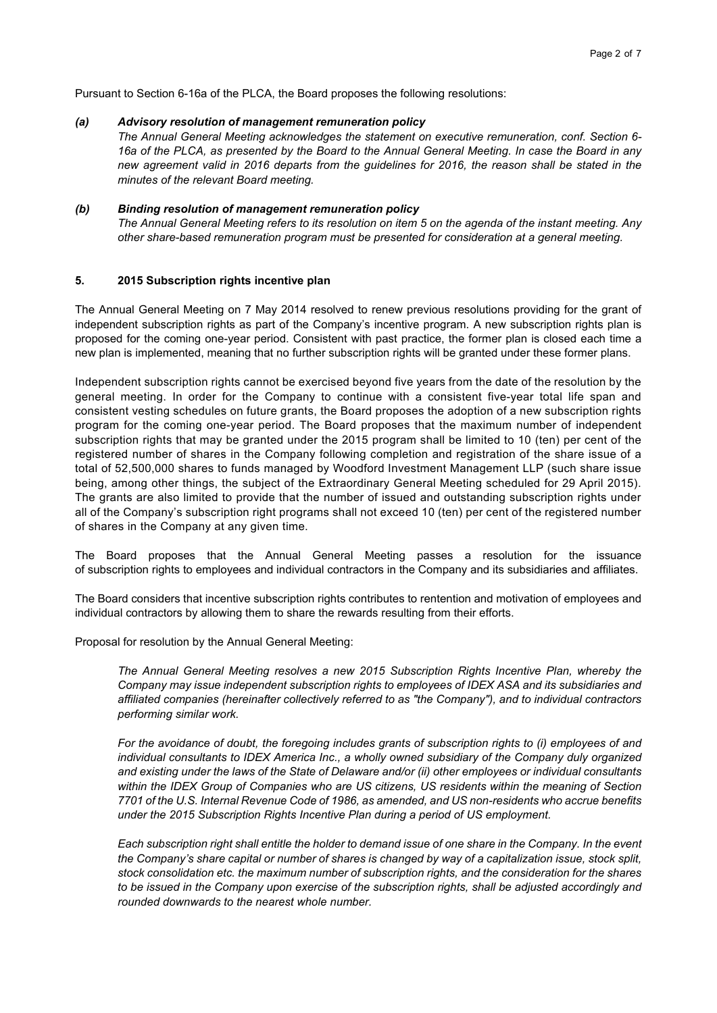Pursuant to Section 6-16a of the PLCA, the Board proposes the following resolutions:

#### *(a) Advisory resolution of management remuneration policy*

*The Annual General Meeting acknowledges the statement on executive remuneration, conf. Section 6- 16a of the PLCA, as presented by the Board to the Annual General Meeting. In case the Board in any new agreement valid in 2016 departs from the guidelines for 2016, the reason shall be stated in the minutes of the relevant Board meeting.* 

#### *(b) Binding resolution of management remuneration policy*

*The Annual General Meeting refers to its resolution on item 5 on the agenda of the instant meeting. Any other share-based remuneration program must be presented for consideration at a general meeting.* 

#### **5. 2015 Subscription rights incentive plan**

The Annual General Meeting on 7 May 2014 resolved to renew previous resolutions providing for the grant of independent subscription rights as part of the Company's incentive program. A new subscription rights plan is proposed for the coming one-year period. Consistent with past practice, the former plan is closed each time a new plan is implemented, meaning that no further subscription rights will be granted under these former plans.

Independent subscription rights cannot be exercised beyond five years from the date of the resolution by the general meeting. In order for the Company to continue with a consistent five-year total life span and consistent vesting schedules on future grants, the Board proposes the adoption of a new subscription rights program for the coming one-year period. The Board proposes that the maximum number of independent subscription rights that may be granted under the 2015 program shall be limited to 10 (ten) per cent of the registered number of shares in the Company following completion and registration of the share issue of a total of 52,500,000 shares to funds managed by Woodford Investment Management LLP (such share issue being, among other things, the subject of the Extraordinary General Meeting scheduled for 29 April 2015). The grants are also limited to provide that the number of issued and outstanding subscription rights under all of the Company's subscription right programs shall not exceed 10 (ten) per cent of the registered number of shares in the Company at any given time.

The Board proposes that the Annual General Meeting passes a resolution for the issuance of subscription rights to employees and individual contractors in the Company and its subsidiaries and affiliates.

The Board considers that incentive subscription rights contributes to rentention and motivation of employees and individual contractors by allowing them to share the rewards resulting from their efforts.

Proposal for resolution by the Annual General Meeting:

*The Annual General Meeting resolves a new 2015 Subscription Rights Incentive Plan, whereby the Company may issue independent subscription rights to employees of IDEX ASA and its subsidiaries and affiliated companies (hereinafter collectively referred to as "the Company"), and to individual contractors performing similar work.* 

*For the avoidance of doubt, the foregoing includes grants of subscription rights to (i) employees of and individual consultants to IDEX America Inc., a wholly owned subsidiary of the Company duly organized and existing under the laws of the State of Delaware and/or (ii) other employees or individual consultants within the IDEX Group of Companies who are US citizens, US residents within the meaning of Section 7701 of the U.S. Internal Revenue Code of 1986, as amended, and US non-residents who accrue benefits under the 2015 Subscription Rights Incentive Plan during a period of US employment.* 

*Each subscription right shall entitle the holder to demand issue of one share in the Company. In the event the Company's share capital or number of shares is changed by way of a capitalization issue, stock split, stock consolidation etc. the maximum number of subscription rights, and the consideration for the shares to be issued in the Company upon exercise of the subscription rights, shall be adjusted accordingly and rounded downwards to the nearest whole number.*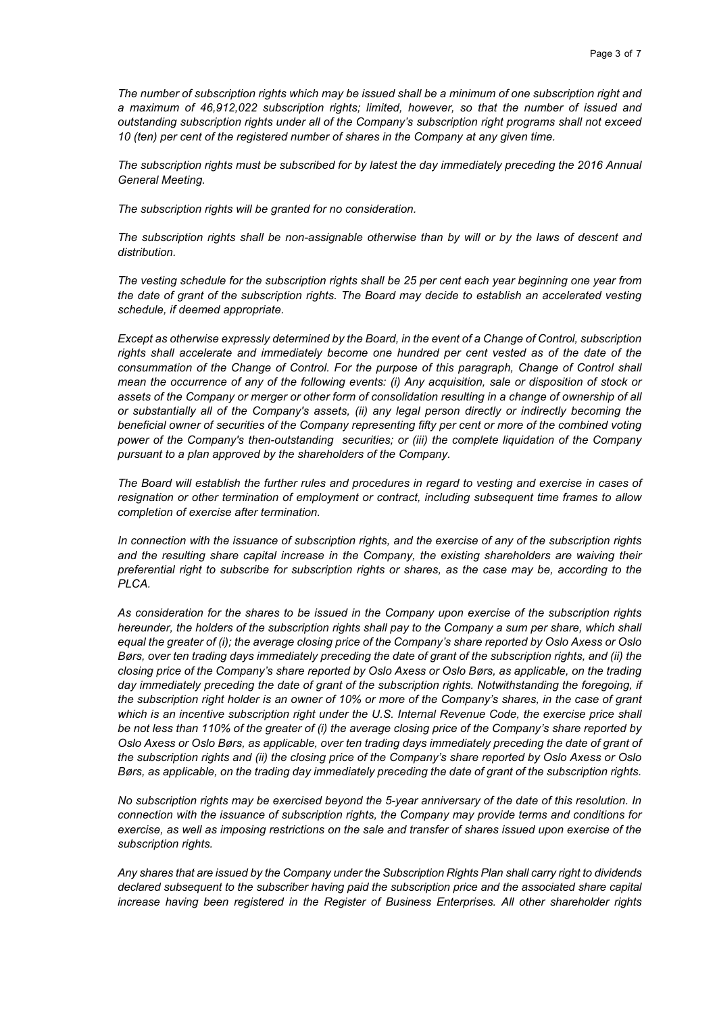*The number of subscription rights which may be issued shall be a minimum of one subscription right and a maximum of 46,912,022 subscription rights; limited, however, so that the number of issued and outstanding subscription rights under all of the Company's subscription right programs shall not exceed 10 (ten) per cent of the registered number of shares in the Company at any given time.* 

*The subscription rights must be subscribed for by latest the day immediately preceding the 2016 Annual General Meeting.* 

*The subscription rights will be granted for no consideration.* 

*The subscription rights shall be non-assignable otherwise than by will or by the laws of descent and distribution.* 

*The vesting schedule for the subscription rights shall be 25 per cent each year beginning one year from the date of grant of the subscription rights. The Board may decide to establish an accelerated vesting schedule, if deemed appropriate.* 

*Except as otherwise expressly determined by the Board, in the event of a Change of Control, subscription*  rights shall accelerate and immediately become one hundred per cent vested as of the date of the *consummation of the Change of Control. For the purpose of this paragraph, Change of Control shall mean the occurrence of any of the following events: (i) Any acquisition, sale or disposition of stock or assets of the Company or merger or other form of consolidation resulting in a change of ownership of all or substantially all of the Company's assets, (ii) any legal person directly or indirectly becoming the beneficial owner of securities of the Company representing fifty per cent or more of the combined voting power of the Company's then-outstanding securities; or (iii) the complete liquidation of the Company pursuant to a plan approved by the shareholders of the Company.* 

*The Board will establish the further rules and procedures in regard to vesting and exercise in cases of resignation or other termination of employment or contract, including subsequent time frames to allow completion of exercise after termination.* 

*In connection with the issuance of subscription rights, and the exercise of any of the subscription rights and the resulting share capital increase in the Company, the existing shareholders are waiving their preferential right to subscribe for subscription rights or shares, as the case may be, according to the PLCA.* 

*As consideration for the shares to be issued in the Company upon exercise of the subscription rights hereunder, the holders of the subscription rights shall pay to the Company a sum per share, which shall equal the greater of (i); the average closing price of the Company's share reported by Oslo Axess or Oslo Børs, over ten trading days immediately preceding the date of grant of the subscription rights, and (ii) the closing price of the Company's share reported by Oslo Axess or Oslo Børs, as applicable, on the trading day immediately preceding the date of grant of the subscription rights. Notwithstanding the foregoing, if the subscription right holder is an owner of 10% or more of the Company's shares, in the case of grant which is an incentive subscription right under the U.S. Internal Revenue Code, the exercise price shall be not less than 110% of the greater of (i) the average closing price of the Company's share reported by Oslo Axess or Oslo Børs, as applicable, over ten trading days immediately preceding the date of grant of the subscription rights and (ii) the closing price of the Company's share reported by Oslo Axess or Oslo Børs, as applicable, on the trading day immediately preceding the date of grant of the subscription rights.* 

*No subscription rights may be exercised beyond the 5-year anniversary of the date of this resolution. In connection with the issuance of subscription rights, the Company may provide terms and conditions for exercise, as well as imposing restrictions on the sale and transfer of shares issued upon exercise of the subscription rights.* 

*Any shares that are issued by the Company under the Subscription Rights Plan shall carry right to dividends declared subsequent to the subscriber having paid the subscription price and the associated share capital increase having been registered in the Register of Business Enterprises. All other shareholder rights*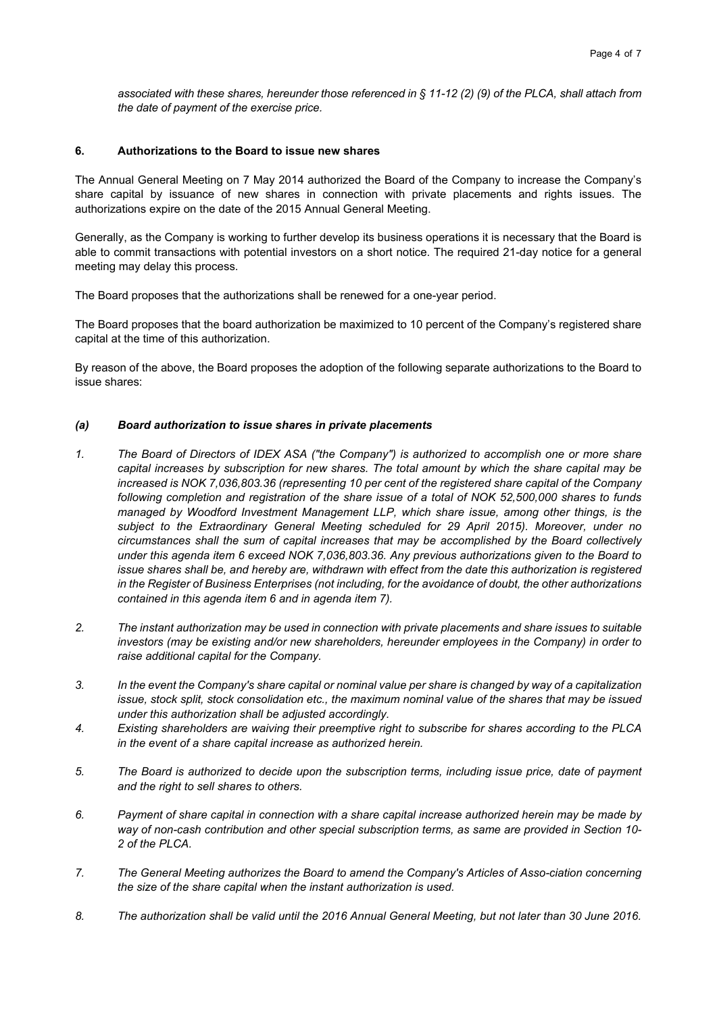*associated with these shares, hereunder those referenced in § 11-12 (2) (9) of the PLCA, shall attach from the date of payment of the exercise price.* 

### **6. Authorizations to the Board to issue new shares**

The Annual General Meeting on 7 May 2014 authorized the Board of the Company to increase the Company's share capital by issuance of new shares in connection with private placements and rights issues. The authorizations expire on the date of the 2015 Annual General Meeting.

Generally, as the Company is working to further develop its business operations it is necessary that the Board is able to commit transactions with potential investors on a short notice. The required 21-day notice for a general meeting may delay this process.

The Board proposes that the authorizations shall be renewed for a one-year period.

The Board proposes that the board authorization be maximized to 10 percent of the Company's registered share capital at the time of this authorization.

By reason of the above, the Board proposes the adoption of the following separate authorizations to the Board to issue shares:

#### *(a) Board authorization to issue shares in private placements*

- *1. The Board of Directors of IDEX ASA ("the Company") is authorized to accomplish one or more share capital increases by subscription for new shares. The total amount by which the share capital may be increased is NOK 7,036,803.36 (representing 10 per cent of the registered share capital of the Company following completion and registration of the share issue of a total of NOK 52,500,000 shares to funds managed by Woodford Investment Management LLP, which share issue, among other things, is the subject to the Extraordinary General Meeting scheduled for 29 April 2015). Moreover, under no circumstances shall the sum of capital increases that may be accomplished by the Board collectively under this agenda item 6 exceed NOK 7,036,803.36. Any previous authorizations given to the Board to issue shares shall be, and hereby are, withdrawn with effect from the date this authorization is registered in the Register of Business Enterprises (not including, for the avoidance of doubt, the other authorizations contained in this agenda item 6 and in agenda item 7).*
- *2. The instant authorization may be used in connection with private placements and share issues to suitable investors (may be existing and/or new shareholders, hereunder employees in the Company) in order to raise additional capital for the Company.*
- *3. In the event the Company's share capital or nominal value per share is changed by way of a capitalization issue, stock split, stock consolidation etc., the maximum nominal value of the shares that may be issued under this authorization shall be adjusted accordingly.*
- *4. Existing shareholders are waiving their preemptive right to subscribe for shares according to the PLCA in the event of a share capital increase as authorized herein.*
- *5. The Board is authorized to decide upon the subscription terms, including issue price, date of payment and the right to sell shares to others.*
- *6. Payment of share capital in connection with a share capital increase authorized herein may be made by way of non-cash contribution and other special subscription terms, as same are provided in Section 10- 2 of the PLCA.*
- *7. The General Meeting authorizes the Board to amend the Company's Articles of Asso-ciation concerning the size of the share capital when the instant authorization is used.*
- *8. The authorization shall be valid until the 2016 Annual General Meeting, but not later than 30 June 2016.*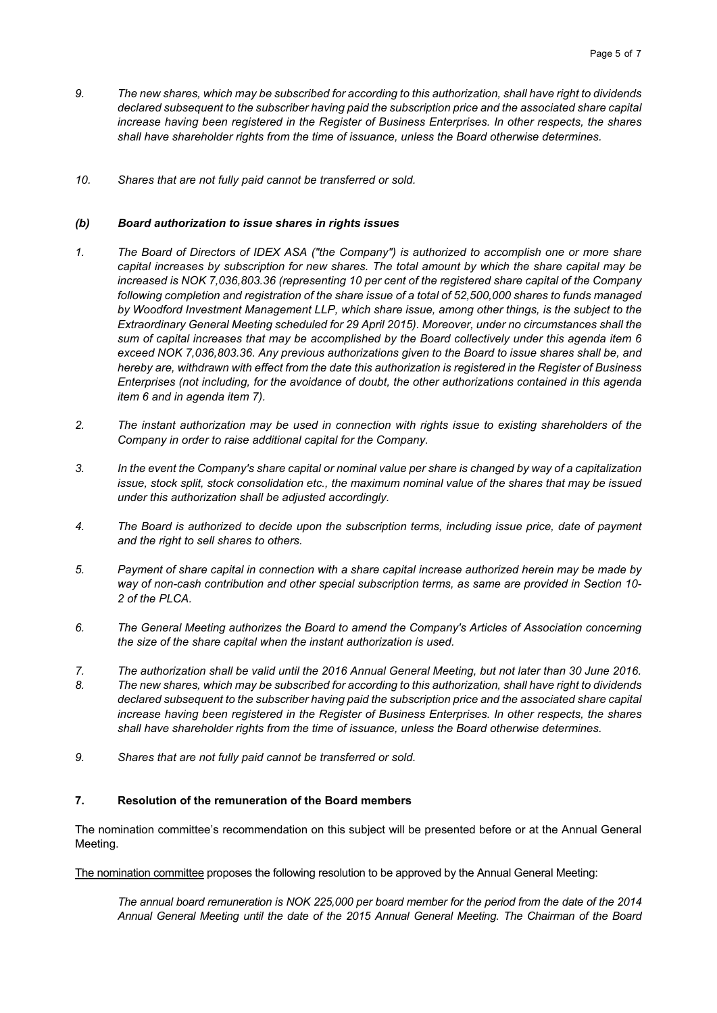- *9. The new shares, which may be subscribed for according to this authorization, shall have right to dividends declared subsequent to the subscriber having paid the subscription price and the associated share capital increase having been registered in the Register of Business Enterprises. In other respects, the shares shall have shareholder rights from the time of issuance, unless the Board otherwise determines.*
- *10. Shares that are not fully paid cannot be transferred or sold.*

#### *(b) Board authorization to issue shares in rights issues*

- *1. The Board of Directors of IDEX ASA ("the Company") is authorized to accomplish one or more share capital increases by subscription for new shares. The total amount by which the share capital may be increased is NOK 7,036,803.36 (representing 10 per cent of the registered share capital of the Company following completion and registration of the share issue of a total of 52,500,000 shares to funds managed by Woodford Investment Management LLP, which share issue, among other things, is the subject to the Extraordinary General Meeting scheduled for 29 April 2015). Moreover, under no circumstances shall the sum of capital increases that may be accomplished by the Board collectively under this agenda item 6 exceed NOK 7,036,803.36. Any previous authorizations given to the Board to issue shares shall be, and hereby are, withdrawn with effect from the date this authorization is registered in the Register of Business Enterprises (not including, for the avoidance of doubt, the other authorizations contained in this agenda item 6 and in agenda item 7).*
- *2. The instant authorization may be used in connection with rights issue to existing shareholders of the Company in order to raise additional capital for the Company.*
- *3. In the event the Company's share capital or nominal value per share is changed by way of a capitalization issue, stock split, stock consolidation etc., the maximum nominal value of the shares that may be issued under this authorization shall be adjusted accordingly.*
- *4. The Board is authorized to decide upon the subscription terms, including issue price, date of payment and the right to sell shares to others.*
- *5. Payment of share capital in connection with a share capital increase authorized herein may be made by way of non-cash contribution and other special subscription terms, as same are provided in Section 10- 2 of the PLCA.*
- *6. The General Meeting authorizes the Board to amend the Company's Articles of Association concerning the size of the share capital when the instant authorization is used.*
- *7. The authorization shall be valid until the 2016 Annual General Meeting, but not later than 30 June 2016.*
- *8. The new shares, which may be subscribed for according to this authorization, shall have right to dividends declared subsequent to the subscriber having paid the subscription price and the associated share capital increase having been registered in the Register of Business Enterprises. In other respects, the shares shall have shareholder rights from the time of issuance, unless the Board otherwise determines.*
- *9. Shares that are not fully paid cannot be transferred or sold.*

#### **7. Resolution of the remuneration of the Board members**

The nomination committee's recommendation on this subject will be presented before or at the Annual General Meeting.

The nomination committee proposes the following resolution to be approved by the Annual General Meeting:

*The annual board remuneration is NOK 225,000 per board member for the period from the date of the 2014 Annual General Meeting until the date of the 2015 Annual General Meeting. The Chairman of the Board*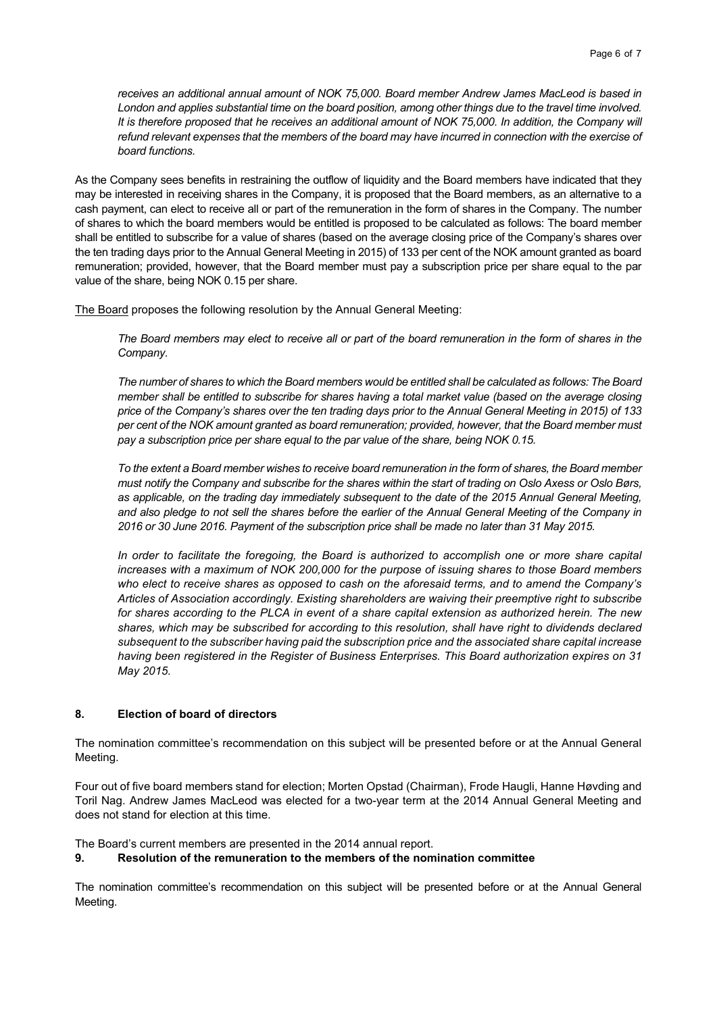*receives an additional annual amount of NOK 75,000. Board member Andrew James MacLeod is based in London and applies substantial time on the board position, among other things due to the travel time involved. It is therefore proposed that he receives an additional amount of NOK 75,000. In addition, the Company will refund relevant expenses that the members of the board may have incurred in connection with the exercise of board functions.* 

As the Company sees benefits in restraining the outflow of liquidity and the Board members have indicated that they may be interested in receiving shares in the Company, it is proposed that the Board members, as an alternative to a cash payment, can elect to receive all or part of the remuneration in the form of shares in the Company. The number of shares to which the board members would be entitled is proposed to be calculated as follows: The board member shall be entitled to subscribe for a value of shares (based on the average closing price of the Company's shares over the ten trading days prior to the Annual General Meeting in 2015) of 133 per cent of the NOK amount granted as board remuneration; provided, however, that the Board member must pay a subscription price per share equal to the par value of the share, being NOK 0.15 per share.

The Board proposes the following resolution by the Annual General Meeting:

*The Board members may elect to receive all or part of the board remuneration in the form of shares in the Company.* 

*The number of shares to which the Board members would be entitled shall be calculated as follows: The Board member shall be entitled to subscribe for shares having a total market value (based on the average closing price of the Company's shares over the ten trading days prior to the Annual General Meeting in 2015) of 133 per cent of the NOK amount granted as board remuneration; provided, however, that the Board member must pay a subscription price per share equal to the par value of the share, being NOK 0.15.* 

*To the extent a Board member wishes to receive board remuneration in the form of shares, the Board member must notify the Company and subscribe for the shares within the start of trading on Oslo Axess or Oslo Børs, as applicable, on the trading day immediately subsequent to the date of the 2015 Annual General Meeting, and also pledge to not sell the shares before the earlier of the Annual General Meeting of the Company in 2016 or 30 June 2016. Payment of the subscription price shall be made no later than 31 May 2015.* 

*In order to facilitate the foregoing, the Board is authorized to accomplish one or more share capital increases with a maximum of NOK 200,000 for the purpose of issuing shares to those Board members who elect to receive shares as opposed to cash on the aforesaid terms, and to amend the Company's Articles of Association accordingly. Existing shareholders are waiving their preemptive right to subscribe for shares according to the PLCA in event of a share capital extension as authorized herein. The new shares, which may be subscribed for according to this resolution, shall have right to dividends declared subsequent to the subscriber having paid the subscription price and the associated share capital increase having been registered in the Register of Business Enterprises. This Board authorization expires on 31 May 2015.* 

#### **8. Election of board of directors**

The nomination committee's recommendation on this subject will be presented before or at the Annual General Meeting.

Four out of five board members stand for election; Morten Opstad (Chairman), Frode Haugli, Hanne Høvding and Toril Nag. Andrew James MacLeod was elected for a two-year term at the 2014 Annual General Meeting and does not stand for election at this time.

The Board's current members are presented in the 2014 annual report.

#### **9. Resolution of the remuneration to the members of the nomination committee**

The nomination committee's recommendation on this subject will be presented before or at the Annual General Meeting.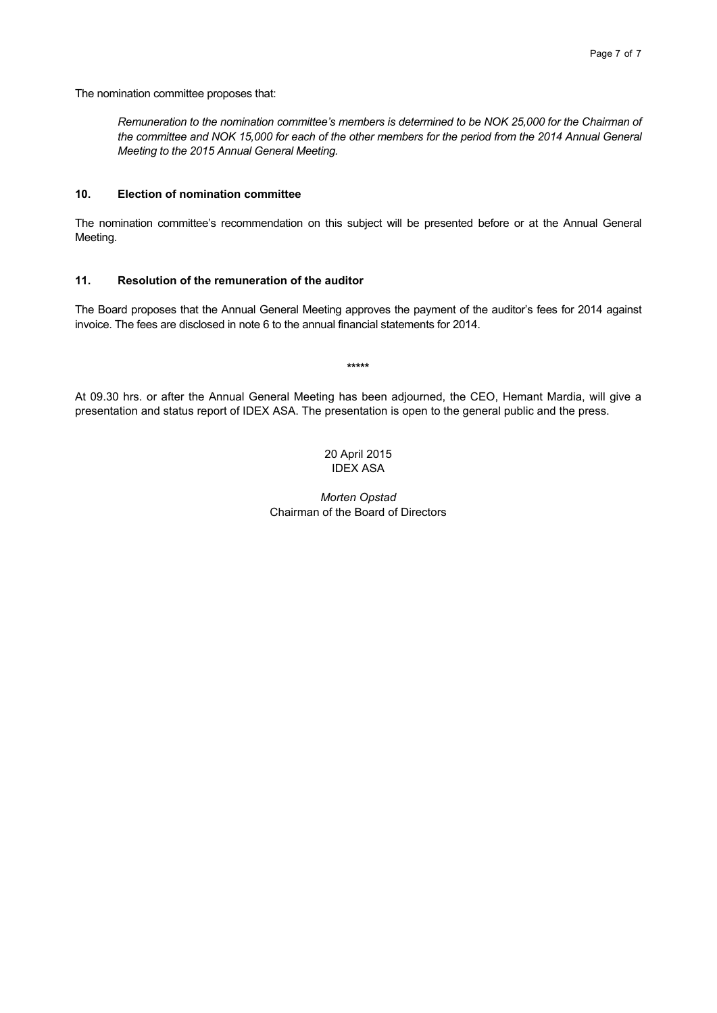The nomination committee proposes that:

*Remuneration to the nomination committee's members is determined to be NOK 25,000 for the Chairman of the committee and NOK 15,000 for each of the other members for the period from the 2014 Annual General Meeting to the 2015 Annual General Meeting.* 

#### **10. Election of nomination committee**

The nomination committee's recommendation on this subject will be presented before or at the Annual General Meeting.

#### **11. Resolution of the remuneration of the auditor**

The Board proposes that the Annual General Meeting approves the payment of the auditor's fees for 2014 against invoice. The fees are disclosed in note 6 to the annual financial statements for 2014.

**\*\*\*\*\*** 

At 09.30 hrs. or after the Annual General Meeting has been adjourned, the CEO, Hemant Mardia, will give a presentation and status report of IDEX ASA. The presentation is open to the general public and the press.

> 20 April 2015 IDEX ASA

*Morten Opstad*  Chairman of the Board of Directors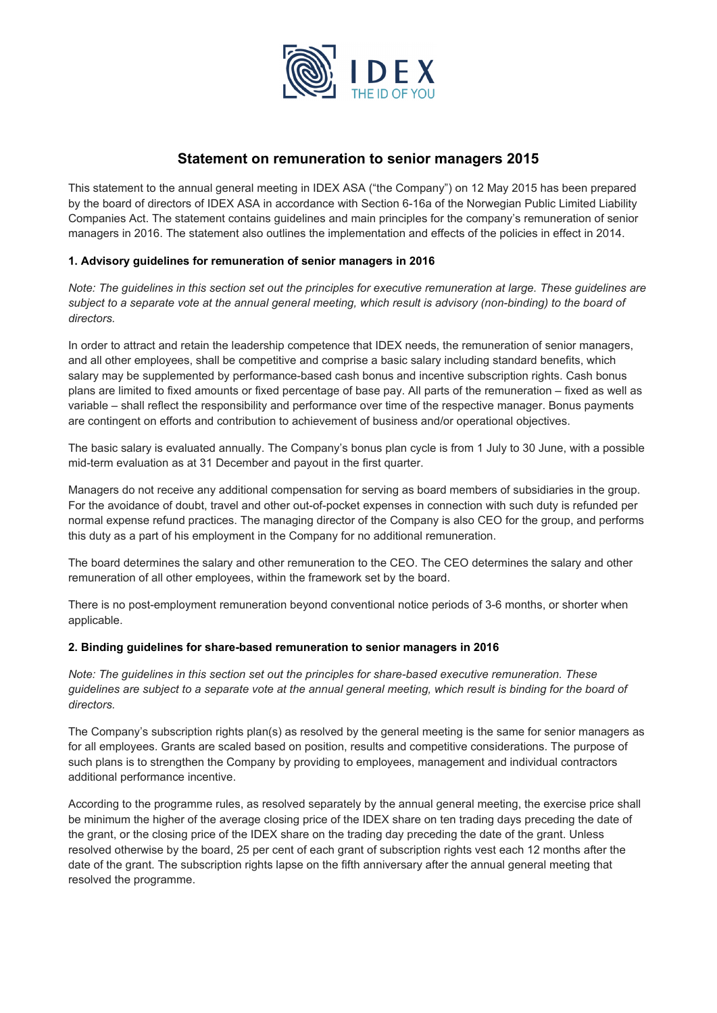

## **Statement on remuneration to senior managers 2015**

This statement to the annual general meeting in IDEX ASA ("the Company") on 12 May 2015 has been prepared by the board of directors of IDEX ASA in accordance with Section 6-16a of the Norwegian Public Limited Liability Companies Act. The statement contains guidelines and main principles for the company's remuneration of senior managers in 2016. The statement also outlines the implementation and effects of the policies in effect in 2014.

## **1. Advisory guidelines for remuneration of senior managers in 2016**

*Note: The guidelines in this section set out the principles for executive remuneration at large. These guidelines are*  subject to a separate vote at the annual general meeting, which result is advisory (non-binding) to the board of *directors.* 

In order to attract and retain the leadership competence that IDEX needs, the remuneration of senior managers, and all other employees, shall be competitive and comprise a basic salary including standard benefits, which salary may be supplemented by performance-based cash bonus and incentive subscription rights. Cash bonus plans are limited to fixed amounts or fixed percentage of base pay. All parts of the remuneration – fixed as well as variable – shall reflect the responsibility and performance over time of the respective manager. Bonus payments are contingent on efforts and contribution to achievement of business and/or operational objectives.

The basic salary is evaluated annually. The Company's bonus plan cycle is from 1 July to 30 June, with a possible mid-term evaluation as at 31 December and payout in the first quarter.

Managers do not receive any additional compensation for serving as board members of subsidiaries in the group. For the avoidance of doubt, travel and other out-of-pocket expenses in connection with such duty is refunded per normal expense refund practices. The managing director of the Company is also CEO for the group, and performs this duty as a part of his employment in the Company for no additional remuneration.

The board determines the salary and other remuneration to the CEO. The CEO determines the salary and other remuneration of all other employees, within the framework set by the board.

There is no post-employment remuneration beyond conventional notice periods of 3-6 months, or shorter when applicable.

#### **2. Binding guidelines for share-based remuneration to senior managers in 2016**

*Note: The guidelines in this section set out the principles for share-based executive remuneration. These guidelines are subject to a separate vote at the annual general meeting, which result is binding for the board of directors.* 

The Company's subscription rights plan(s) as resolved by the general meeting is the same for senior managers as for all employees. Grants are scaled based on position, results and competitive considerations. The purpose of such plans is to strengthen the Company by providing to employees, management and individual contractors additional performance incentive.

According to the programme rules, as resolved separately by the annual general meeting, the exercise price shall be minimum the higher of the average closing price of the IDEX share on ten trading days preceding the date of the grant, or the closing price of the IDEX share on the trading day preceding the date of the grant. Unless resolved otherwise by the board, 25 per cent of each grant of subscription rights vest each 12 months after the date of the grant. The subscription rights lapse on the fifth anniversary after the annual general meeting that resolved the programme.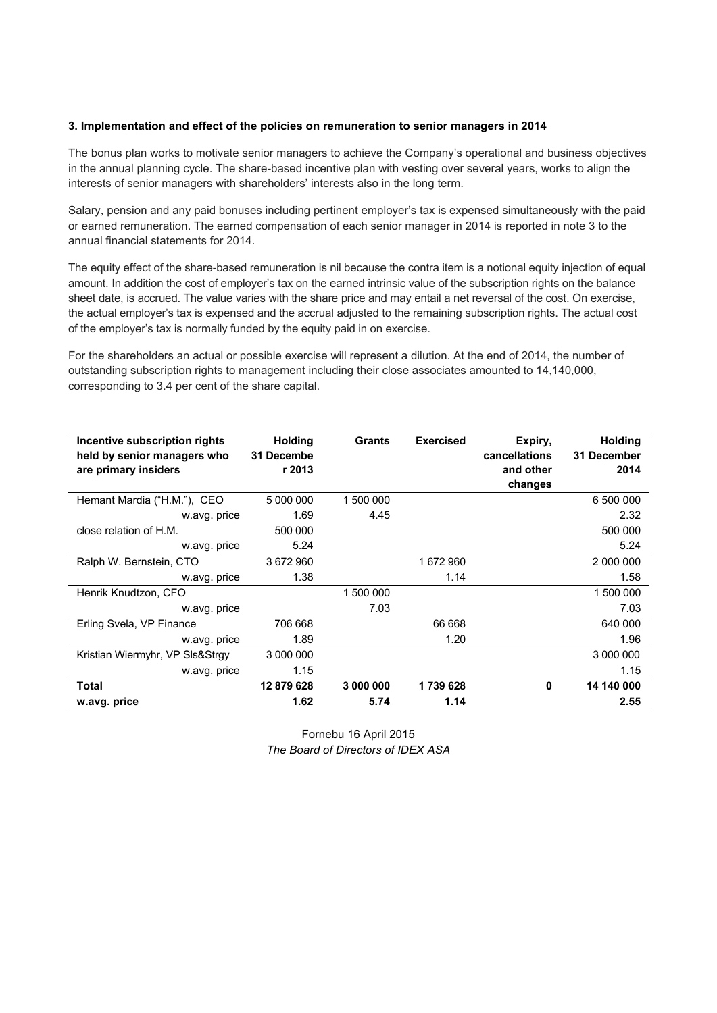#### **3. Implementation and effect of the policies on remuneration to senior managers in 2014**

The bonus plan works to motivate senior managers to achieve the Company's operational and business objectives in the annual planning cycle. The share-based incentive plan with vesting over several years, works to align the interests of senior managers with shareholders' interests also in the long term.

Salary, pension and any paid bonuses including pertinent employer's tax is expensed simultaneously with the paid or earned remuneration. The earned compensation of each senior manager in 2014 is reported in note 3 to the annual financial statements for 2014.

The equity effect of the share-based remuneration is nil because the contra item is a notional equity injection of equal amount. In addition the cost of employer's tax on the earned intrinsic value of the subscription rights on the balance sheet date, is accrued. The value varies with the share price and may entail a net reversal of the cost. On exercise, the actual employer's tax is expensed and the accrual adjusted to the remaining subscription rights. The actual cost of the employer's tax is normally funded by the equity paid in on exercise.

For the shareholders an actual or possible exercise will represent a dilution. At the end of 2014, the number of outstanding subscription rights to management including their close associates amounted to 14,140,000, corresponding to 3.4 per cent of the share capital.

| Incentive subscription rights<br>held by senior managers who<br>are primary insiders | <b>Holding</b><br>31 Decembe<br>r 2013 | <b>Grants</b> | <b>Exercised</b> | Expiry,<br>cancellations<br>and other | <b>Holding</b><br>31 December<br>2014 |
|--------------------------------------------------------------------------------------|----------------------------------------|---------------|------------------|---------------------------------------|---------------------------------------|
|                                                                                      |                                        |               |                  | changes                               |                                       |
| Hemant Mardia ("H.M."), CEO                                                          | 5 000 000                              | 1 500 000     |                  |                                       | 6 500 000                             |
| w.avg. price                                                                         | 1.69                                   | 4.45          |                  |                                       | 2.32                                  |
| close relation of H.M.                                                               | 500 000                                |               |                  |                                       | 500 000                               |
| w.avg. price                                                                         | 5.24                                   |               |                  |                                       | 5.24                                  |
| Ralph W. Bernstein, CTO                                                              | 3 672 960                              |               | 1672960          |                                       | 2 000 000                             |
| w.avg. price                                                                         | 1.38                                   |               | 1.14             |                                       | 1.58                                  |
| Henrik Knudtzon, CFO                                                                 |                                        | 1 500 000     |                  |                                       | 1 500 000                             |
| w.avg. price                                                                         |                                        | 7.03          |                  |                                       | 7.03                                  |
| Erling Svela, VP Finance                                                             | 706 668                                |               | 66 668           |                                       | 640 000                               |
| w.avg. price                                                                         | 1.89                                   |               | 1.20             |                                       | 1.96                                  |
| Kristian Wiermyhr, VP SIs&Strgy                                                      | 3 000 000                              |               |                  |                                       | 3 000 000                             |
| w.avg. price                                                                         | 1.15                                   |               |                  |                                       | 1.15                                  |
| Total                                                                                | 12879628                               | 3 000 000     | 1739628          | $\mathbf{0}$                          | 14 140 000                            |
| w.avg. price                                                                         | 1.62                                   | 5.74          | 1.14             |                                       | 2.55                                  |

Fornebu 16 April 2015 *The Board of Directors of IDEX ASA*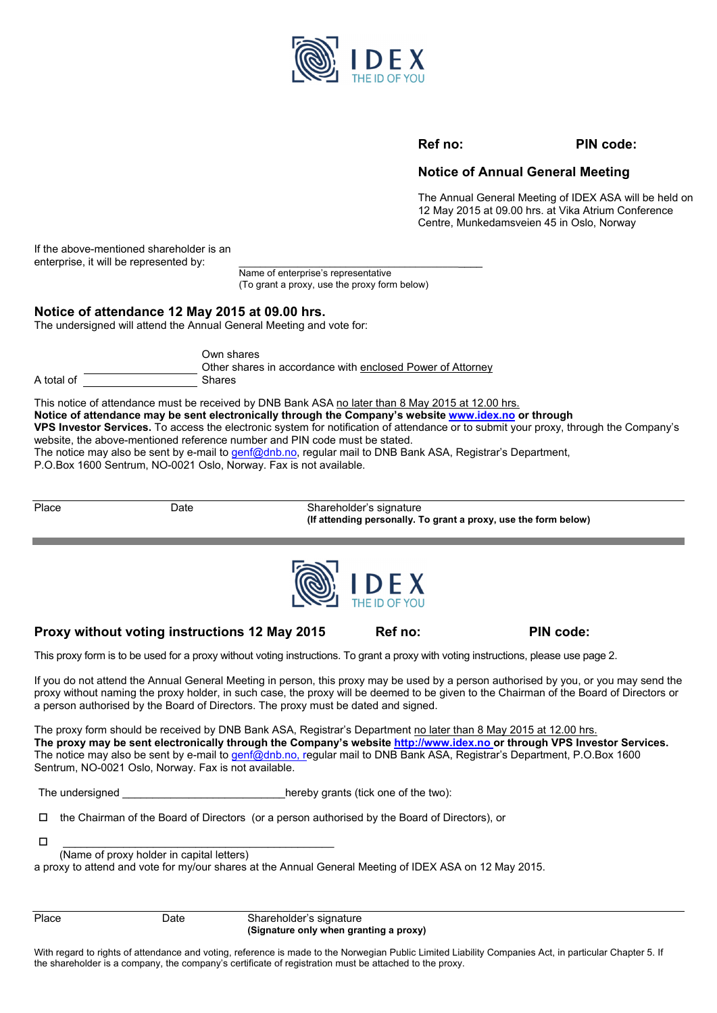

#### **Ref no: PIN code:**

## **Notice of Annual General Meeting**

The Annual General Meeting of IDEX ASA will be held on 12 May 2015 at 09.00 hrs. at Vika Atrium Conference Centre, Munkedamsveien 45 in Oslo, Norway

If the above-mentioned shareholder is an enterprise, it will be represented by:

 Name of enterprise's representative (To grant a proxy, use the proxy form below)

## **Notice of attendance 12 May 2015 at 09.00 hrs.**

The undersigned will attend the Annual General Meeting and vote for:

|            | Own shares<br>Other shares in accordance with enclosed Power of Attorney |
|------------|--------------------------------------------------------------------------|
| A total of | <b>Shares</b>                                                            |

This notice of attendance must be received by DNB Bank ASA no later than 8 May 2015 at 12.00 hrs. **Notice of attendance may be sent electronically through the Company's website www.idex.no or through VPS Investor Services.** To access the electronic system for notification of attendance or to submit your proxy, through the Company's website, the above-mentioned reference number and PIN code must be stated. The notice may also be sent by e-mail to genf@dnb.no, regular mail to DNB Bank ASA, Registrar's Department,

P.O.Box 1600 Sentrum, NO-0021 Oslo, Norway. Fax is not available.

Date **Date** Shareholder's signature  **(If attending personally. To grant a proxy, use the form below)** 





## Proxy without voting instructions 12 May 2015 Ref no: PIN code:

This proxy form is to be used for a proxy without voting instructions. To grant a proxy with voting instructions, please use page 2.

If you do not attend the Annual General Meeting in person, this proxy may be used by a person authorised by you, or you may send the proxy without naming the proxy holder, in such case, the proxy will be deemed to be given to the Chairman of the Board of Directors or a person authorised by the Board of Directors. The proxy must be dated and signed.

The proxy form should be received by DNB Bank ASA, Registrar's Department no later than 8 May 2015 at 12.00 hrs. **The proxy may be sent electronically through the Company's website http://www.idex.no or through VPS Investor Services.**  The notice may also be sent by e-mail to genf@dnb.no, regular mail to DNB Bank ASA, Registrar's Department, P.O.Box 1600 Sentrum, NO-0021 Oslo, Norway. Fax is not available.

The undersigned The undersigned the two states of the two states of the two states of the two states of the two states of the two states of the two states of the two states of the two states of the two states of the two st

 $\Box$  the Chairman of the Board of Directors (or a person authorised by the Board of Directors), or

\_\_\_\_\_\_\_\_\_\_\_\_\_\_\_\_\_\_\_\_\_\_\_\_\_\_\_\_\_\_\_\_\_\_\_\_\_\_\_\_\_\_\_\_\_

(Name of proxy holder in capital letters)

a proxy to attend and vote for my/our shares at the Annual General Meeting of IDEX ASA on 12 May 2015.

Place Date Date Shareholder's signature  **(Signature only when granting a proxy)** 

With regard to rights of attendance and voting, reference is made to the Norwegian Public Limited Liability Companies Act, in particular Chapter 5. If the shareholder is a company, the company's certificate of registration must be attached to the proxy.